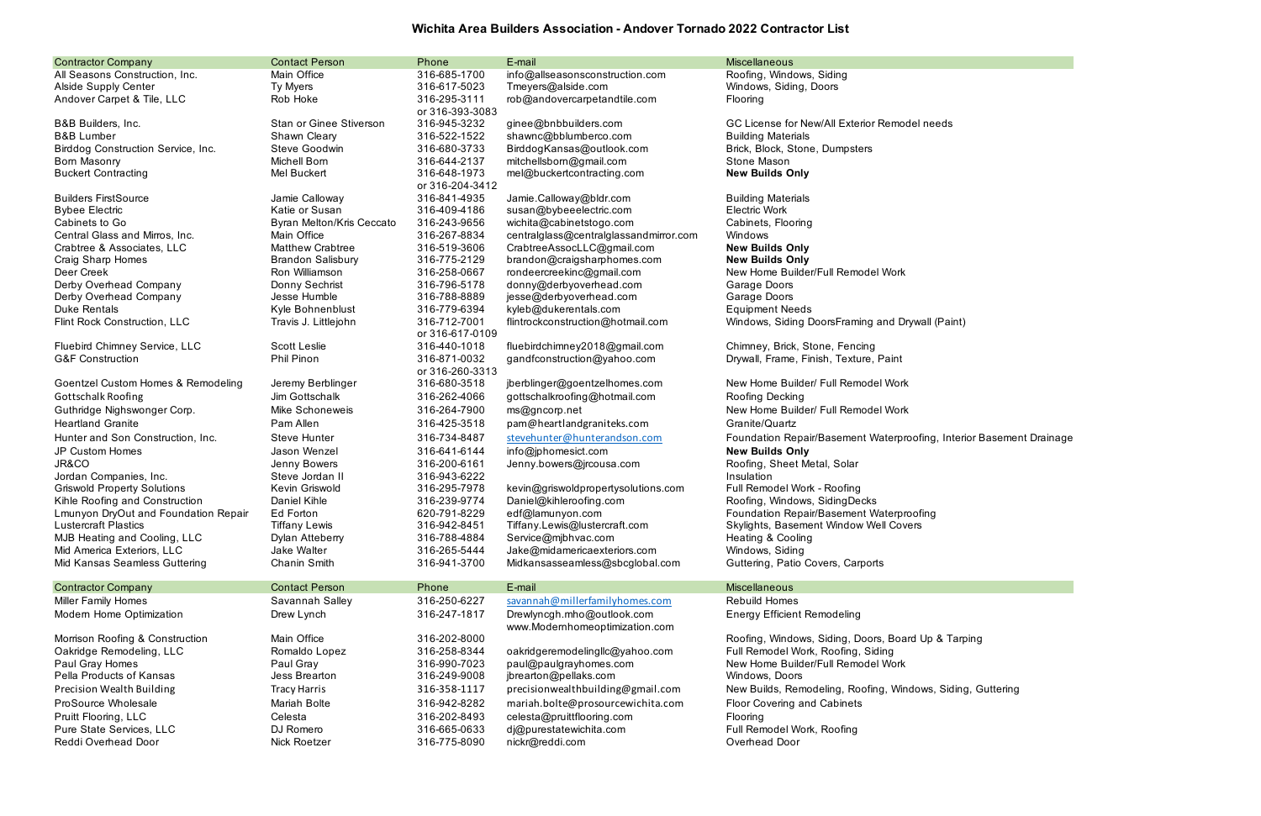## **Wichita Area Builders Association - Andover Tornado 2022 Contractor List**

| <b>Contractor Company</b>            | <b>Contact Person</b>          | Phone                           | E-mail                                                       | <b>Miscellaneous</b>                                 |
|--------------------------------------|--------------------------------|---------------------------------|--------------------------------------------------------------|------------------------------------------------------|
| All Seasons Construction, Inc.       | Main Office                    | 316-685-1700                    | info@allseasonsconstruction.com                              | Roofing, Windows, Siding                             |
| <b>Alside Supply Center</b>          | Ty Myers                       | 316-617-5023                    | Tmeyers@alside.com                                           | Windows, Siding, Doors                               |
| Andover Carpet & Tile, LLC           | Rob Hoke                       | 316-295-3111<br>or 316-393-3083 | rob@andovercarpetandtile.com                                 | <b>Flooring</b>                                      |
| B&B Builders, Inc.                   | <b>Stan or Ginee Stiverson</b> | 316-945-3232                    | ginee@bnbbuilders.com                                        | GC License for New/All Exterior Remodel needs        |
| <b>B&amp;B Lumber</b>                | Shawn Cleary                   | 316-522-1522                    | shawnc@bblumberco.com                                        | <b>Building Materials</b>                            |
| Birddog Construction Service, Inc.   | Steve Goodwin                  | 316-680-3733                    | BirddogKansas@outlook.com                                    | Brick, Block, Stone, Dumpsters                       |
| Born Masonry                         | <b>Michell Born</b>            | 316-644-2137                    | mitchellsborn@gmail.com                                      | Stone Mason                                          |
| <b>Buckert Contracting</b>           | Mel Buckert                    | 316-648-1973                    | mel@buckertcontracting.com                                   | <b>New Builds Only</b>                               |
|                                      |                                | or 316-204-3412                 |                                                              |                                                      |
| <b>Builders FirstSource</b>          | Jamie Calloway                 | 316-841-4935                    | Jamie.Calloway@bldr.com                                      | <b>Building Materials</b>                            |
| <b>Bybee Electric</b>                | Katie or Susan                 | 316-409-4186                    | susan@bybeeelectric.com                                      | <b>Electric Work</b>                                 |
| Cabinets to Go                       | Byran Melton/Kris Ceccato      | 316-243-9656                    | wichita@cabinetstogo.com                                     | Cabinets, Flooring                                   |
| Central Glass and Mirros, Inc.       | Main Office                    | 316-267-8834                    | centralglass@centralglassandmirror.com                       | Windows                                              |
| Crabtree & Associates, LLC           | <b>Matthew Crabtree</b>        | 316-519-3606                    | CrabtreeAssocLLC@gmail.com                                   | <b>New Builds Only</b>                               |
| Craig Sharp Homes                    | <b>Brandon Salisbury</b>       | 316-775-2129                    | brandon@craigsharphomes.com                                  | <b>New Builds Only</b>                               |
| Deer Creek                           | Ron Williamson                 | 316-258-0667                    | rondeercreekinc@gmail.com                                    | New Home Builder/Full Remodel Work                   |
| Derby Overhead Company               | Donny Sechrist                 | 316-796-5178                    | donny@derbyoverhead.com                                      | Garage Doors                                         |
| Derby Overhead Company               | Jesse Humble                   | 316-788-8889                    | jesse@derbyoverhead.com                                      | Garage Doors                                         |
| <b>Duke Rentals</b>                  | Kyle Bohnenblust               | 316-779-6394                    | kyleb@dukerentals.com                                        | <b>Equipment Needs</b>                               |
| Flint Rock Construction, LLC         | Travis J. Littlejohn           | 316-712-7001                    | flintrockconstruction@hotmail.com                            | Windows, Siding DoorsFraming and Drywall (Paint)     |
|                                      |                                | or 316-617-0109                 |                                                              |                                                      |
| Fluebird Chimney Service, LLC        | <b>Scott Leslie</b>            | 316-440-1018                    | fluebirdchimney2018@gmail.com                                | Chimney, Brick, Stone, Fencing                       |
| <b>G&amp;F Construction</b>          | Phil Pinon                     | 316-871-0032                    | gandfconstruction@yahoo.com                                  | Drywall, Frame, Finish, Texture, Paint               |
|                                      |                                | or 316-260-3313                 |                                                              |                                                      |
| Goentzel Custom Homes & Remodeling   | Jeremy Berblinger              | 316-680-3518                    | jberblinger@goentzelhomes.com                                | New Home Builder/ Full Remodel Work                  |
| Gottschalk Roofing                   | Jim Gottschalk                 | 316-262-4066                    | gottschalkroofing@hotmail.com                                | Roofing Decking                                      |
| Guthridge Nighswonger Corp.          | Mike Schoneweis                | 316-264-7900                    | ms@gncorp.net                                                | New Home Builder/ Full Remodel Work                  |
| <b>Heartland Granite</b>             | Pam Allen                      | 316-425-3518                    | pam@heartlandgraniteks.com                                   | Granite/Quartz                                       |
| Hunter and Son Construction, Inc.    | <b>Steve Hunter</b>            | 316-734-8487                    | stevehunter@hunterandson.com                                 | Foundation Repair/Basement Waterproofing, Interior I |
| JP Custom Homes                      | Jason Wenzel                   | 316-641-6144                    | info@jphomesict.com                                          | <b>New Builds Only</b>                               |
| JR&CO                                | Jenny Bowers                   | 316-200-6161                    | Jenny.bowers@jrcousa.com                                     | Roofing, Sheet Metal, Solar                          |
| Jordan Companies, Inc.               | Steve Jordan II                | 316-943-6222                    |                                                              | Insulation                                           |
| <b>Griswold Property Solutions</b>   | Kevin Griswold                 | 316-295-7978                    | kevin@griswoldpropertysolutions.com                          | Full Remodel Work - Roofing                          |
| Kihle Roofing and Construction       | Daniel Kihle                   | 316-239-9774                    | Daniel@kihleroofing.com                                      | Roofing, Windows, SidingDecks                        |
| Lmunyon DryOut and Foundation Repair | Ed Forton                      | 620-791-8229                    | edf@lamunyon.com                                             | Foundation Repair/Basement Waterproofing             |
| <b>Lustercraft Plastics</b>          | <b>Tiffany Lewis</b>           | 316-942-8451                    | Tiffany.Lewis@lustercraft.com                                | Skylights, Basement Window Well Covers               |
| MJB Heating and Cooling, LLC         | Dylan Atteberry                | 316-788-4884                    | Service@mjbhvac.com                                          | Heating & Cooling                                    |
| Mid America Exteriors, LLC           | Jake Walter                    | 316-265-5444                    | Jake@midamericaexteriors.com                                 | Windows, Siding                                      |
| Mid Kansas Seamless Guttering        | Chanin Smith                   | 316-941-3700                    | Midkansasseamless@sbcglobal.com                              | Guttering, Patio Covers, Carports                    |
| <b>Contractor Company</b>            | <b>Contact Person</b>          | Phone                           | E-mail                                                       | <b>Miscellaneous</b>                                 |
| <b>Miller Family Homes</b>           | Savannah Salley                | 316-250-6227                    | savannah@millerfamilyhomes.com                               | <b>Rebuild Homes</b>                                 |
| Modern Home Optimization             | Drew Lynch                     | 316-247-1817                    | Drewlyncgh.mho@outlook.com<br>www.Modernhomeoptimization.com | <b>Energy Efficient Remodeling</b>                   |
| Morrison Roofing & Construction      | Main Office                    | 316-202-8000                    |                                                              | Roofing, Windows, Siding, Doors, Board Up & Tarping  |
| Oakridge Remodeling, LLC             | Romaldo Lopez                  | 316-258-8344                    | oakridgeremodelingllc@yahoo.com                              | Full Remodel Work, Roofing, Siding                   |
| Paul Gray Homes                      | Paul Gray                      | 316-990-7023                    | paul@paulgrayhomes.com                                       | New Home Builder/Full Remodel Work                   |
| Pella Products of Kansas             | Jess Brearton                  | 316-249-9008                    | jbrearton@pellaks.com                                        | Windows, Doors                                       |
| Precision Wealth Building            | <b>Tracy Harris</b>            | 316-358-1117                    | precisionwealthbuilding@gmail.com                            | New Builds, Remodeling, Roofing, Windows, Siding, G  |
| ProSource Wholesale                  | Mariah Bolte                   | 316-942-8282                    | mariah.bolte@prosourcewichita.com                            | <b>Floor Covering and Cabinets</b>                   |
| Pruitt Flooring, LLC                 | Celesta                        | 316-202-8493                    | celesta@pruittflooring.com                                   | <b>Flooring</b>                                      |
| Pure State Services, LLC             | DJ Romero                      | 316-665-0633                    | dj@purestatewichita.com                                      | Full Remodel Work, Roofing                           |
| Reddi Overhead Door                  | Nick Roetzer                   | 316-775-8090                    | nickr@reddi.com                                              | Overhead Door                                        |
|                                      |                                |                                 |                                                              |                                                      |

fing, Interior Basement Drainage

ws, Siding, Guttering